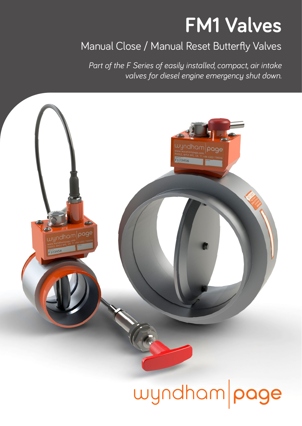## **FM1 Valves**

## Manual Close / Manual Reset Butterfly Valves

*Part of the F Series of easily installed, compact, air intake valves for diesel engine emergency shut down.* 



# wyndham page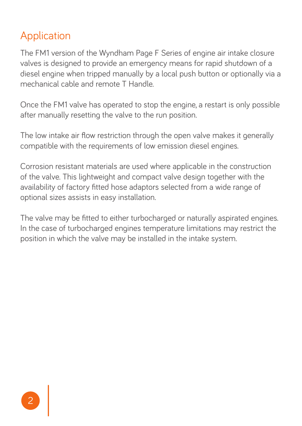## Application

The FM1 version of the Wyndham Page F Series of engine air intake closure valves is designed to provide an emergency means for rapid shutdown of a diesel engine when tripped manually by a local push button or optionally via a mechanical cable and remote T Handle.

Once the FM1 valve has operated to stop the engine, a restart is only possible after manually resetting the valve to the run position.

The low intake air flow restriction through the open valve makes it generally compatible with the requirements of low emission diesel engines.

Corrosion resistant materials are used where applicable in the construction of the valve. This lightweight and compact valve design together with the availability of factory fitted hose adaptors selected from a wide range of optional sizes assists in easy installation.

The valve may be fitted to either turbocharged or naturally aspirated engines. In the case of turbocharged engines temperature limitations may restrict the position in which the valve may be installed in the intake system.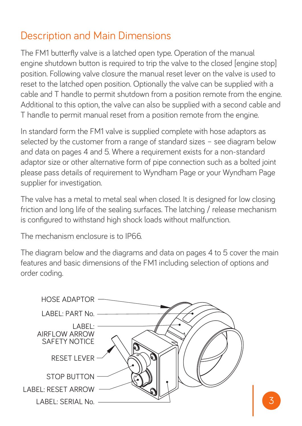## Description and Main Dimensions

The FM1 butterfly valve is a latched open type. Operation of the manual engine shutdown button is required to trip the valve to the closed [engine stop] position. Following valve closure the manual reset lever on the valve is used to reset to the latched open position. Optionally the valve can be supplied with a cable and T handle to permit shutdown from a position remote from the engine. Additional to this option, the valve can also be supplied with a second cable and T handle to permit manual reset from a position remote from the engine.

In standard form the FM1 valve is supplied complete with hose adaptors as selected by the customer from a range of standard sizes – see diagram below and data on pages 4 and 5. Where a requirement exists for a non-standard adaptor size or other alternative form of pipe connection such as a bolted joint please pass details of requirement to Wyndham Page or your Wyndham Page supplier for investigation.

The valve has a metal to metal seal when closed. It is designed for low closing friction and long life of the sealing surfaces. The latching / release mechanism is configured to withstand high shock loads without malfunction.

The mechanism enclosure is to IP66.

The diagram below and the diagrams and data on pages 4 to 5 cover the main features and basic dimensions of the FM1 including selection of options and order coding.

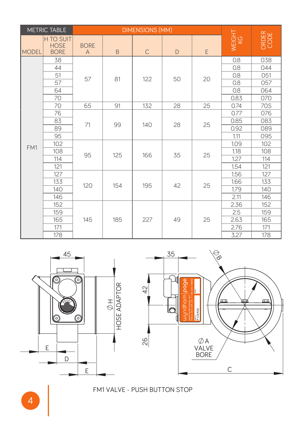| METRIC TABLE |                                         | <b>DIMENSIONS (MM)</b>        |     |              |              |    |              |               |
|--------------|-----------------------------------------|-------------------------------|-----|--------------|--------------|----|--------------|---------------|
| <b>MODEL</b> | H TO SUIT<br><b>HOSE</b><br><b>BORE</b> | <b>BORE</b><br>$\overline{A}$ | B   | $\mathsf{C}$ | $\mathsf{D}$ | E  | WEIGHT<br>KG | ORDER<br>CODE |
|              | 38                                      | 57                            | 81  | 122          | 50           | 20 | 0.8          | 038           |
|              | 44                                      |                               |     |              |              |    | 0.8          | 044           |
|              | 51                                      |                               |     |              |              |    | 0.8          | 051           |
|              | 57                                      |                               |     |              |              |    | 0.8          | 057           |
|              | 64                                      |                               |     |              |              |    | 0.8          | 064           |
|              | 70                                      |                               |     |              |              |    | 0.83         | 070           |
|              | 70                                      | 65                            | 91  | 132          | 28           | 25 | 0.74         | 70S           |
| FM1          | 76                                      | 71                            | 99  | 140          | 28           | 25 | 0.77         | 076           |
|              | 83                                      |                               |     |              |              |    | 0.85         | 083           |
|              | 89                                      |                               |     |              |              |    | 0.92         | 089           |
|              | 95                                      |                               |     |              |              |    | 1.11         | 095           |
|              | 102                                     | 95                            | 125 | 166          | 35           | 25 | 1.09         | 102           |
|              | 108                                     |                               |     |              |              |    | 1.18         | 108           |
|              | 114                                     |                               |     |              |              |    | 1.27         | 114           |
|              | 121                                     |                               |     |              |              |    | 1.54         | 121           |
|              | 127                                     | 120                           | 154 | 195          | 42           | 25 | 1.56         | 127           |
|              | 133                                     |                               |     |              |              |    | 1.66         | 133           |
|              | 140                                     |                               |     |              |              |    | 1.79         | 140           |
|              | 146                                     |                               |     |              |              |    | 2.11         | 146           |
|              | 152                                     | 145                           | 185 | 227          | 49           | 25 | 2.36         | 152           |
|              | 159                                     |                               |     |              |              |    | 2.5          | 159           |
|              | 165                                     |                               |     |              |              |    | 2.63         | 165           |
|              | 171                                     |                               |     |              |              |    | 2.76         | 171           |
|              | 178                                     |                               |     |              |              |    | 3.27         | 178           |





#### FM1 VALVE - PUSH BUTTON STOP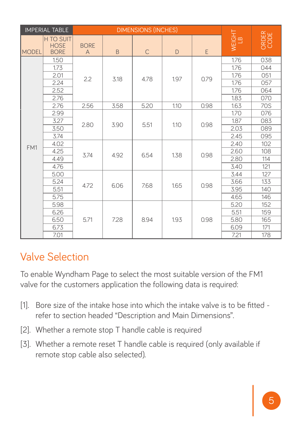| <b>IMPERIAL TABLE</b> |                                                | <b>DIMENSIONS (INCHES)</b> |      |              |              |      |              |               |
|-----------------------|------------------------------------------------|----------------------------|------|--------------|--------------|------|--------------|---------------|
| <b>MODEL</b>          | <b>H TO SUIT</b><br><b>HOSE</b><br><b>BORE</b> | <b>BORE</b><br>A           | B.   | $\mathsf{C}$ | $\mathsf{D}$ | E    | WEIGHT<br>LB | ORDER<br>CODE |
| FM1                   | 1.50                                           | 2.2                        | 3.18 | 4.78         | 1.97         | 0.79 | 1.76         | 038           |
|                       | 1.73                                           |                            |      |              |              |      | 1.76         | 044           |
|                       | 2.01                                           |                            |      |              |              |      | 1.76         | 051           |
|                       | 2.24                                           |                            |      |              |              |      | 1.76         | 057           |
|                       | 2.52                                           |                            |      |              |              |      | 1.76         | 064           |
|                       | 2.76                                           |                            |      |              |              |      | 1.83         | 070           |
|                       | 2.76                                           | 2.56                       | 3.58 | 5.20         | 1.10         | 0.98 | 1.63         | 70S           |
|                       | 2.99                                           | 2.80                       | 3.90 | 5.51         | 1.10         | 0.98 | 1.70         | 076           |
|                       | 3.27                                           |                            |      |              |              |      | 1.87         | 083           |
|                       | 3.50                                           |                            |      |              |              |      | 2.03         | 089           |
|                       | 3.74                                           |                            |      |              |              |      | 2.45         | 095           |
|                       | 4.02                                           | 3.74                       | 4.92 | 6.54         | 1.38         | 0.98 | 2.40         | 102           |
|                       | 4.25                                           |                            |      |              |              |      | 2.60         | 108           |
|                       | 4.49                                           |                            |      |              |              |      | 2.80         | 114           |
|                       | 4.76                                           |                            |      |              |              |      | 3.40         | 121           |
|                       | 5.00                                           | 4.72                       | 6.06 | 7.68         | 1.65         | 0.98 | 3.44         | 127           |
|                       | 5.24                                           |                            |      |              |              |      | 3.66         | 133           |
|                       | 5.51                                           |                            |      |              |              |      | 3.95         | 140           |
|                       | 5.75                                           |                            |      |              |              |      | 4.65         | 146           |
|                       | 5.98                                           | 5.71                       | 7.28 | 8.94         | 1.93         | 0.98 | 5.20         | 152           |
|                       | 6.26                                           |                            |      |              |              |      | 5.51         | 159           |
|                       | 6.50                                           |                            |      |              |              |      | 5.80         | 165           |
|                       | 6.73                                           |                            |      |              |              |      | 6.09         | 171           |
|                       | 7.01                                           |                            |      |              |              |      | 7.21         | 178           |

## Valve Selection

To enable Wyndham Page to select the most suitable version of the FM1 valve for the customers application the following data is required:

- [1]. Bore size of the intake hose into which the intake valve is to be fitted refer to section headed "Description and Main Dimensions".
- [2]. Whether a remote stop T handle cable is required
- [3]. Whether a remote reset T handle cable is required (only available if remote stop cable also selected).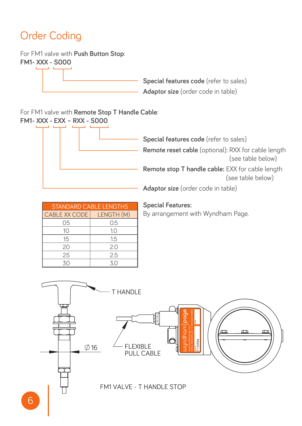#### Order Coding r Coding

For FM1 valve with Push Button Stop:

LABEL: SERIAL No.

LABEL: RESET ARROW

**FM1- XXX - S000** STOP BUTTON

> **Special features code** (refer to sales) **Adaptor size** (order code in table)

For FM1 valve with **Remote Stop T Handle Cable**:



| <b>STANDARD CABLE LENGTHS</b> | <b>Special Features:</b> |                  |
|-------------------------------|--------------------------|------------------|
| CABLE XX CODE   LENGTH (M)    |                          | By arrangement v |
| 05                            | 0.5                      |                  |
| 10                            | 1.0                      |                  |
| 15                            | 1.5                      |                  |
| 20                            | 2.0                      |                  |
| 25                            | 2.5                      |                  |
| 30                            | 30                       |                  |

#### **Special Features:**

 $\overline{\phantom{a}}$ ith Wyr



#### FM1 VALVE - T HANDLE STOP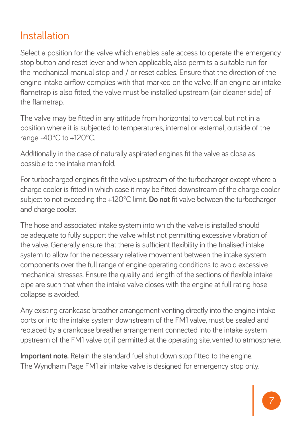## Installation

Select a position for the valve which enables safe access to operate the emergency stop button and reset lever and when applicable, also permits a suitable run for the mechanical manual stop and / or reset cables. Ensure that the direction of the engine intake airflow complies with that marked on the valve. If an engine air intake flametrap is also fitted, the valve must be installed upstream (air cleaner side) of the flametrap.

The valve may be fitted in any attitude from horizontal to vertical but not in a position where it is subjected to temperatures, internal or external, outside of the range -40°C to +120°C.

Additionally in the case of naturally aspirated engines fit the valve as close as possible to the intake manifold.

For turbocharged engines fit the valve upstream of the turbocharger except where a charge cooler is fitted in which case it may be fitted downstream of the charge cooler subject to not exceeding the +120°C limit. **Do not** fit valve between the turbocharger and charge cooler.

The hose and associated intake system into which the valve is installed should be adequate to fully support the valve whilst not permitting excessive vibration of the valve. Generally ensure that there is sufficient flexibility in the finalised intake system to allow for the necessary relative movement between the intake system components over the full range of engine operating conditions to avoid excessive mechanical stresses. Ensure the quality and length of the sections of flexible intake pipe are such that when the intake valve closes with the engine at full rating hose collapse is avoided.

Any existing crankcase breather arrangement venting directly into the engine intake ports or into the intake system downstream of the FM1 valve, must be sealed and replaced by a crankcase breather arrangement connected into the intake system upstream of the FM1 valve or, if permitted at the operating site, vented to atmosphere.

**Important note.** Retain the standard fuel shut down stop fitted to the engine. The Wyndham Page FM1 air intake valve is designed for emergency stop only.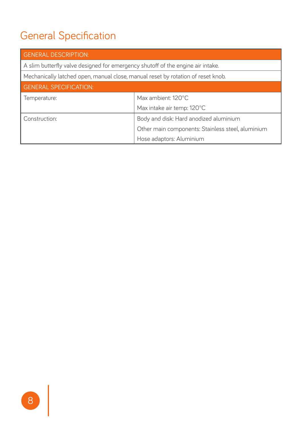## General Specification

| <b>GENERAL DESCRIPTION:</b>                                                      |                                                   |  |  |  |
|----------------------------------------------------------------------------------|---------------------------------------------------|--|--|--|
| A slim butterfly valve designed for emergency shutoff of the engine air intake.  |                                                   |  |  |  |
| Mechanically latched open, manual close, manual reset by rotation of reset knob. |                                                   |  |  |  |
| <b>GENERAL SPECIFICATION:</b>                                                    |                                                   |  |  |  |
| Temperature:                                                                     | Max ambient: 120°C                                |  |  |  |
|                                                                                  | Max intake air temp: 120°C                        |  |  |  |
| Construction:                                                                    | Body and disk: Hard anodized aluminium            |  |  |  |
|                                                                                  | Other main components: Stainless steel, aluminium |  |  |  |
|                                                                                  | Hose adaptors: Aluminium                          |  |  |  |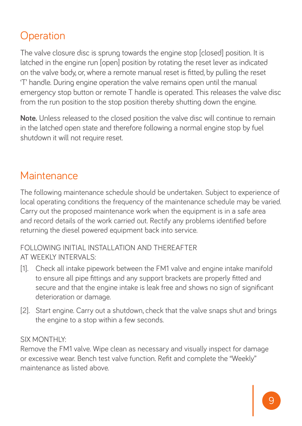## **Operation**

The valve closure disc is sprung towards the engine stop [closed] position. It is latched in the engine run [open] position by rotating the reset lever as indicated on the valve body, or, where a remote manual reset is fitted, by pulling the reset 'T' handle. During engine operation the valve remains open until the manual emergency stop button or remote T handle is operated. This releases the valve disc from the run position to the stop position thereby shutting down the engine.

**Note.** Unless released to the closed position the valve disc will continue to remain in the latched open state and therefore following a normal engine stop by fuel shutdown it will not require reset.

### **Maintenance**

The following maintenance schedule should be undertaken. Subject to experience of local operating conditions the frequency of the maintenance schedule may be varied. Carry out the proposed maintenance work when the equipment is in a safe area and record details of the work carried out. Rectify any problems identified before returning the diesel powered equipment back into service.

#### FOLLOWING INITIAL INSTALLATION AND THEREAFTER AT WEEKLY INTERVALS:

- [1]. Check all intake pipework between the FM1 valve and engine intake manifold to ensure all pipe fittings and any support brackets are properly fitted and secure and that the engine intake is leak free and shows no sign of significant deterioration or damage.
- [2]. Start engine. Carry out a shutdown, check that the valve snaps shut and brings the engine to a stop within a few seconds.

#### SIX MONTHLY:

Remove the FM1 valve. Wipe clean as necessary and visually inspect for damage or excessive wear. Bench test valve function. Refit and complete the "Weekly" maintenance as listed above.